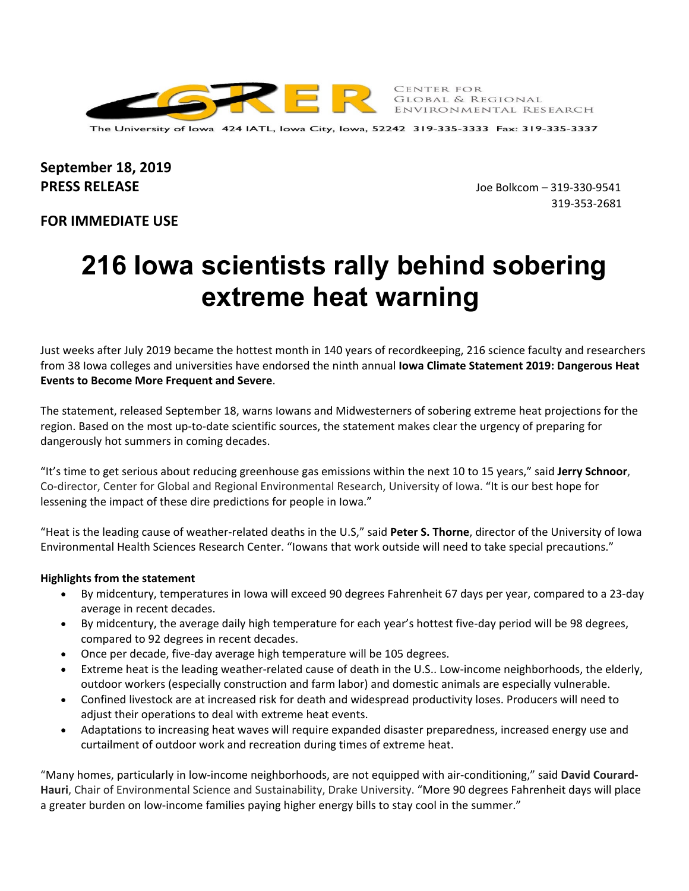

CENTER FOR CENTER FOR<br>Global & Regional<br>Europeilleum Late ENVIRONMENTAL RESEARCH

The University of Iowa 424 IATL, Iowa City, Iowa, 52242 319-335-3333 Fax: 319-335-3337

# **September 18, 2019 PRESS RELEASE** Joe Bolkcom – 319‐330‐9541

319‐353‐2681

## **FOR IMMEDIATE USE**

# **216 Iowa scientists rally behind sobering extreme heat warning**

Just weeks after July 2019 became the hottest month in 140 years of recordkeeping, 216 science faculty and researchers from 38 Iowa colleges and universities have endorsed the ninth annual **Iowa Climate Statement 2019: Dangerous Heat Events to Become More Frequent and Severe**.

The statement, released September 18, warns Iowans and Midwesterners of sobering extreme heat projections for the region. Based on the most up‐to‐date scientific sources, the statement makes clear the urgency of preparing for dangerously hot summers in coming decades.

"It's time to get serious about reducing greenhouse gas emissions within the next 10 to 15 years," said **Jerry Schnoor**, Co‐director, Center for Global and Regional Environmental Research, University of Iowa. "It is our best hope for lessening the impact of these dire predictions for people in Iowa."

"Heat is the leading cause of weather‐related deaths in the U.S," said **Peter S. Thorne**, director of the University of Iowa Environmental Health Sciences Research Center. "Iowans that work outside will need to take special precautions."

## **Highlights from the statement**

- By midcentury, temperatures in Iowa will exceed 90 degrees Fahrenheit 67 days per year, compared to a 23‐day average in recent decades.
- By midcentury, the average daily high temperature for each year's hottest five‐day period will be 98 degrees, compared to 92 degrees in recent decades.
- Once per decade, five‐day average high temperature will be 105 degrees.
- Extreme heat is the leading weather‐related cause of death in the U.S.. Low‐income neighborhoods, the elderly, outdoor workers (especially construction and farm labor) and domestic animals are especially vulnerable.
- Confined livestock are at increased risk for death and widespread productivity loses. Producers will need to adjust their operations to deal with extreme heat events.
- Adaptations to increasing heat waves will require expanded disaster preparedness, increased energy use and curtailment of outdoor work and recreation during times of extreme heat.

"Many homes, particularly in low‐income neighborhoods, are not equipped with air‐conditioning," said **David Courard‐ Hauri**, Chair of Environmental Science and Sustainability, Drake University. "More 90 degrees Fahrenheit days will place a greater burden on low-income families paying higher energy bills to stay cool in the summer."